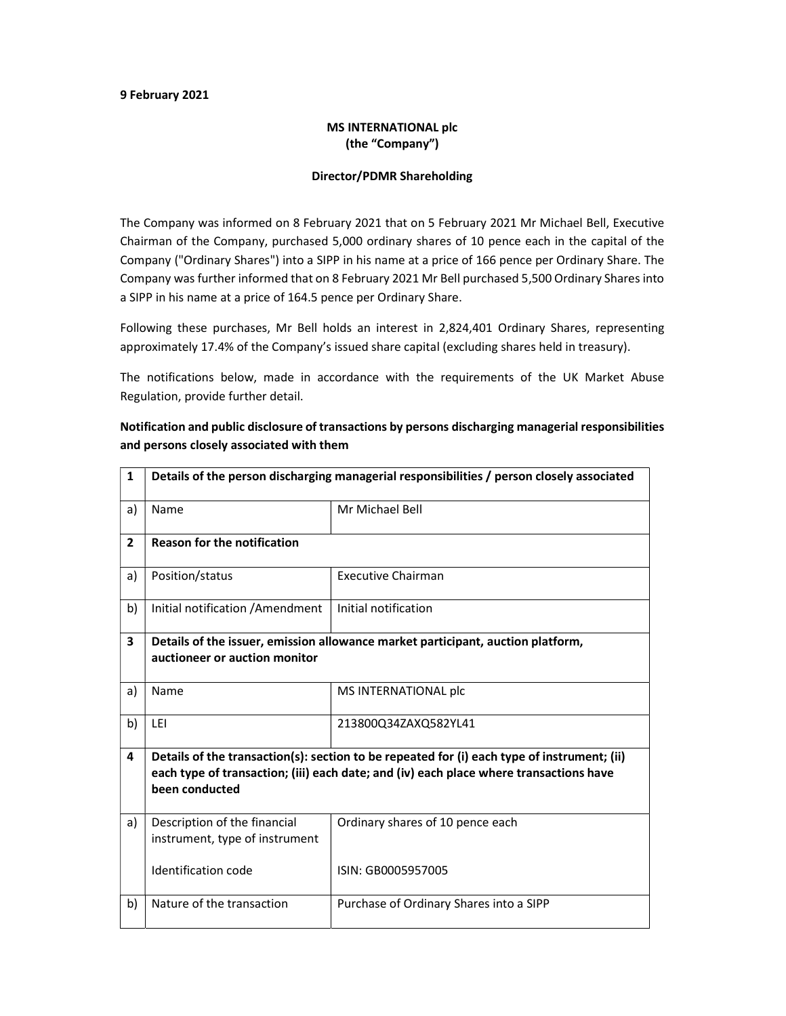## 9 February 2021

## MS INTERNATIONAL plc (the "Company")

## Director/PDMR Shareholding

The Company was informed on 8 February 2021 that on 5 February 2021 Mr Michael Bell, Executive Chairman of the Company, purchased 5,000 ordinary shares of 10 pence each in the capital of the Company ("Ordinary Shares") into a SIPP in his name at a price of 166 pence per Ordinary Share. The Company was further informed that on 8 February 2021 Mr Bell purchased 5,500 Ordinary Shares into a SIPP in his name at a price of 164.5 pence per Ordinary Share.

Following these purchases, Mr Bell holds an interest in 2,824,401 Ordinary Shares, representing approximately 17.4% of the Company's issued share capital (excluding shares held in treasury).

The notifications below, made in accordance with the requirements of the UK Market Abuse Regulation, provide further detail.

| $\mathbf{1}$   | Details of the person discharging managerial responsibilities / person closely associated                                                                                                               |                                         |
|----------------|---------------------------------------------------------------------------------------------------------------------------------------------------------------------------------------------------------|-----------------------------------------|
| a)             | Name                                                                                                                                                                                                    | Mr Michael Bell                         |
| $\overline{2}$ | <b>Reason for the notification</b>                                                                                                                                                                      |                                         |
| a)             | Position/status                                                                                                                                                                                         | <b>Executive Chairman</b>               |
| b)             | Initial notification / Amendment                                                                                                                                                                        | Initial notification                    |
| 3              | Details of the issuer, emission allowance market participant, auction platform,<br>auctioneer or auction monitor                                                                                        |                                         |
| a)             | Name                                                                                                                                                                                                    | MS INTERNATIONAL plc                    |
| b)             | LEI                                                                                                                                                                                                     | 213800Q34ZAXQ582YL41                    |
| 4              | Details of the transaction(s): section to be repeated for (i) each type of instrument; (ii)<br>each type of transaction; (iii) each date; and (iv) each place where transactions have<br>been conducted |                                         |
| a)             | Description of the financial<br>instrument, type of instrument                                                                                                                                          | Ordinary shares of 10 pence each        |
|                | Identification code                                                                                                                                                                                     | ISIN: GB0005957005                      |
| b)             | Nature of the transaction                                                                                                                                                                               | Purchase of Ordinary Shares into a SIPP |

Notification and public disclosure of transactions by persons discharging managerial responsibilities and persons closely associated with them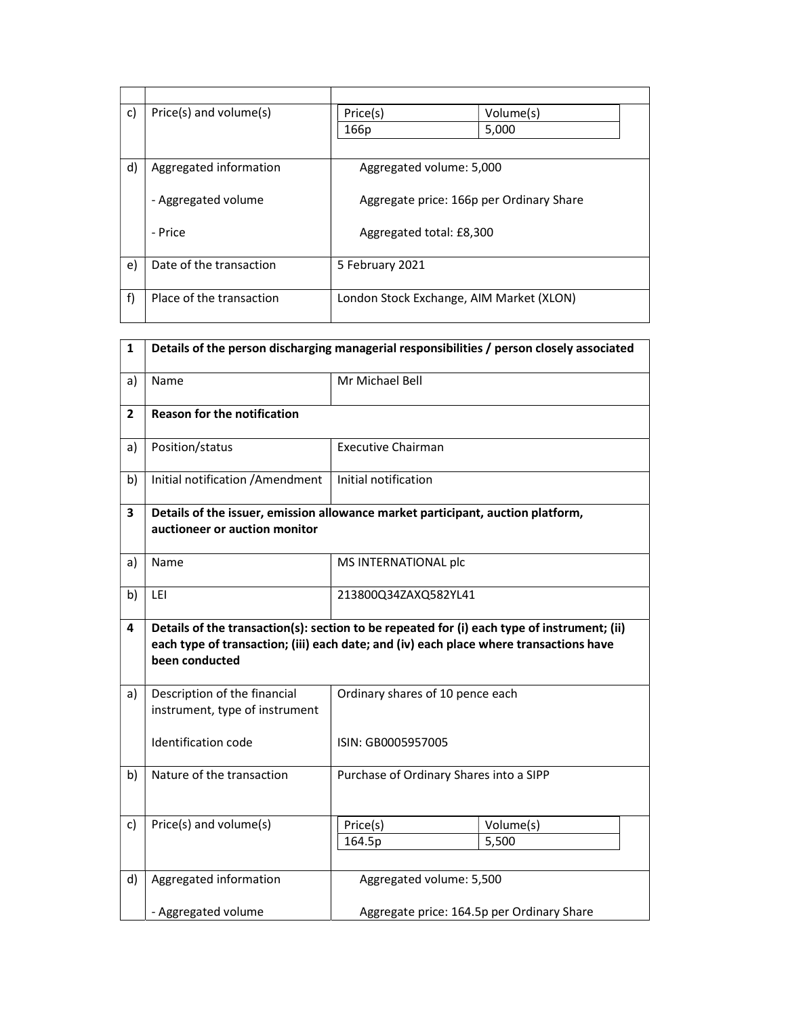| c) | Price(s) and volume(s)   | Price(s)                                 | Volume(s) |
|----|--------------------------|------------------------------------------|-----------|
|    |                          | 166p                                     | 5,000     |
|    |                          |                                          |           |
| d) | Aggregated information   | Aggregated volume: 5,000                 |           |
|    |                          |                                          |           |
|    | - Aggregated volume      | Aggregate price: 166p per Ordinary Share |           |
|    |                          |                                          |           |
|    | - Price                  | Aggregated total: £8,300                 |           |
|    |                          |                                          |           |
| e) | Date of the transaction  | 5 February 2021                          |           |
|    |                          |                                          |           |
| f) | Place of the transaction | London Stock Exchange, AIM Market (XLON) |           |
|    |                          |                                          |           |

| $\mathbf{1}$ | Details of the person discharging managerial responsibilities / person closely associated                                                                                                               |                                            |                    |
|--------------|---------------------------------------------------------------------------------------------------------------------------------------------------------------------------------------------------------|--------------------------------------------|--------------------|
| a)           | Name                                                                                                                                                                                                    | Mr Michael Bell                            |                    |
| $\mathbf{2}$ | <b>Reason for the notification</b>                                                                                                                                                                      |                                            |                    |
| a)           | Position/status                                                                                                                                                                                         | <b>Executive Chairman</b>                  |                    |
| b)           | Initial notification / Amendment                                                                                                                                                                        | Initial notification                       |                    |
| 3            | Details of the issuer, emission allowance market participant, auction platform,<br>auctioneer or auction monitor                                                                                        |                                            |                    |
| a)           | Name                                                                                                                                                                                                    | MS INTERNATIONAL plc                       |                    |
| b)           | LEI                                                                                                                                                                                                     | 213800Q34ZAXQ582YL41                       |                    |
| 4            | Details of the transaction(s): section to be repeated for (i) each type of instrument; (ii)<br>each type of transaction; (iii) each date; and (iv) each place where transactions have<br>been conducted |                                            |                    |
| a)           | Description of the financial<br>instrument, type of instrument                                                                                                                                          | Ordinary shares of 10 pence each           |                    |
|              | Identification code                                                                                                                                                                                     | ISIN: GB0005957005                         |                    |
| b)           | Nature of the transaction                                                                                                                                                                               | Purchase of Ordinary Shares into a SIPP    |                    |
| c)           | Price(s) and volume(s)                                                                                                                                                                                  | Price(s)<br>164.5p                         | Volume(s)<br>5,500 |
| d)           | Aggregated information                                                                                                                                                                                  | Aggregated volume: 5,500                   |                    |
|              | - Aggregated volume                                                                                                                                                                                     | Aggregate price: 164.5p per Ordinary Share |                    |